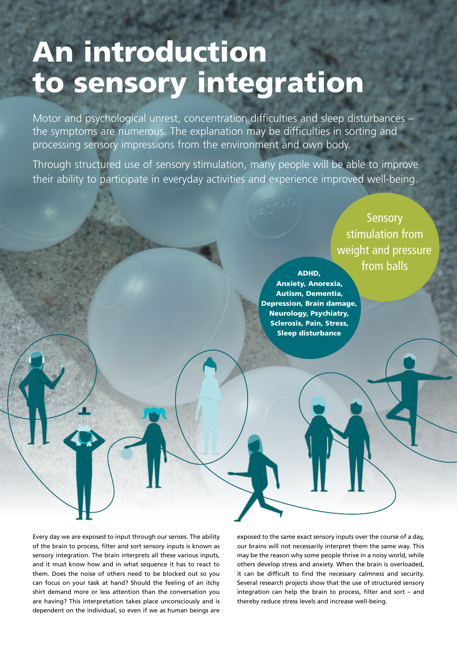# An introduction to sensory integration

Motor and psychological unrest, concentration difficulties and sleep disturbances – the symptoms are numerous. The explanation may be difficulties in sorting and processing sensory impressions from the environment and own body.

Through structured use of sensory stimulation, many people will be able to improve their ability to participate in everyday activities and experience improved well-being.

> **Sensory** stimulation from weight and pressure from balls

ADHD, Anxiety, Anorexia, Autism, Dementia, Depression, Brain damage, Neurology, Psychiatry, Sclerosis, Pain, Stress, Sleep disturbance

Every day we are exposed to input through our senses. The ability of the brain to process, filter and sort sensory inputs is known as sensory integration. The brain interprets all these various inputs, and it must know how and in what sequence it has to react to them. Does the noise of others need to be blocked out so you can focus on your task at hand? Should the feeling of an itchy shirt demand more or less attention than the conversation you are having? This interpretation takes place unconsciously and is dependent on the individual, so even if we as human beings are

exposed to the same exact sensory inputs over the course of a day, our brains will not necessarily interpret them the same way. This may be the reason why some people thrive in a noisy world, while others develop stress and anxiety. When the brain is overloaded, it can be difficult to find the necessary calmness and security. Several research projects show that the use of structured sensory integration can help the brain to process, filter and sort – and thereby reduce stress levels and increase well-being.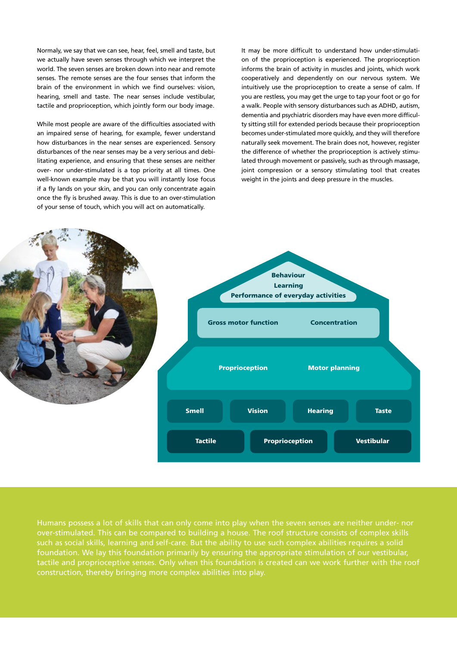Normaly, we say that we can see, hear, feel, smell and taste, but we actually have seven senses through which we interpret the world. The seven senses are broken down into near and remote senses. The remote senses are the four senses that inform the brain of the environment in which we find ourselves: vision, hearing, smell and taste. The near senses include vestibular, tactile and proprioception, which jointly form our body image.

While most people are aware of the difficulties associated with an impaired sense of hearing, for example, fewer understand how disturbances in the near senses are experienced. Sensory disturbances of the near senses may be a very serious and debilitating experience, and ensuring that these senses are neither over- nor under-stimulated is a top priority at all times. One well-known example may be that you will instantly lose focus if a fly lands on your skin, and you can only concentrate again once the fly is brushed away. This is due to an over-stimulation of your sense of touch, which you will act on automatically.

It may be more difficult to understand how under-stimulation of the proprioception is experienced. The proprioception informs the brain of activity in muscles and joints, which work cooperatively and dependently on our nervous system. We intuitively use the proprioception to create a sense of calm. If you are restless, you may get the urge to tap your foot or go for a walk. People with sensory disturbances such as ADHD, autism, dementia and psychiatric disorders may have even more difficulty sitting still for extended periods because their proprioception becomes under-stimulated more quickly, and they will therefore naturally seek movement. The brain does not, however, register the difference of whether the proprioception is actively stimulated through movement or passively, such as through massage, joint compression or a sensory stimulating tool that creates weight in the joints and deep pressure in the muscles.



Humans possess a lot of skills that can only come into play when the seven senses are neither under- nor over-stimulated. This can be compared to building a house. The roof structure consists of complex skills such as social skills, learning and self-care. But the ability to use such complex abilities requires a solid foundation. We lay this foundation primarily by ensuring the appropriate stimulation of our vestibular, construction, thereby bringing more complex abilities into play.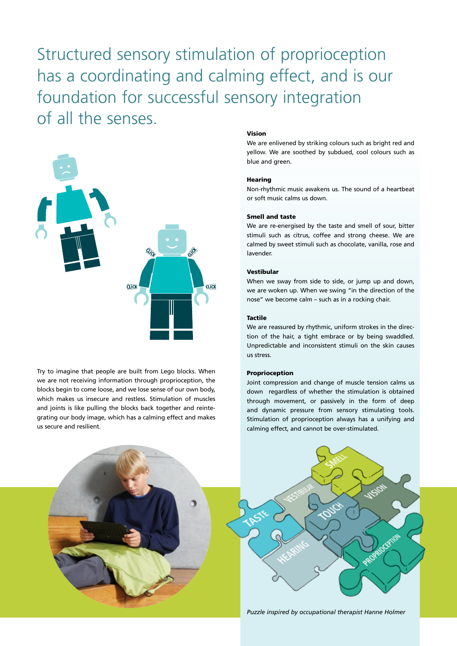Structured sensory stimulation of proprioception has a coordinating and calming effect, and is our foundation for successful sensory integration of all the senses.



Try to imagine that people are built from Lego blocks. When we are not receiving information through proprioception, the blocks begin to come loose, and we lose sense of our own body, which makes us insecure and restless. Stimulation of muscles and joints is like pulling the blocks back together and reintegrating our body image, which has a calming effect and makes us secure and resilient.

#### Vision

We are enlivened by striking colours such as bright red and yellow. We are soothed by subdued, cool colours such as blue and green.

#### Hearing

Non-rhythmic music awakens us. The sound of a heartbeat or soft music calms us down.

#### Smell and taste

We are re-energised by the taste and smell of sour, bitter stimuli such as citrus, coffee and strong cheese. We are calmed by sweet stimuli such as chocolate, vanilla, rose and lavender.

#### Vestibular

When we sway from side to side, or jump up and down, we are woken up. When we swing "in the direction of the nose" we become calm – such as in a rocking chair.

#### Tactile

We are reassured by rhythmic, uniform strokes in the direction of the hair, a tight embrace or by being swaddled. Unpredictable and inconsistent stimuli on the skin causes us stress.

#### Proprioception

Joint compression and change of muscle tension calms us down regardless of whether the stimulation is obtained through movement, or passively in the form of deep and dynamic pressure from sensory stimulating tools. Stimulation of proprioception always has a unifying and calming effect, and cannot be over-stimulated.